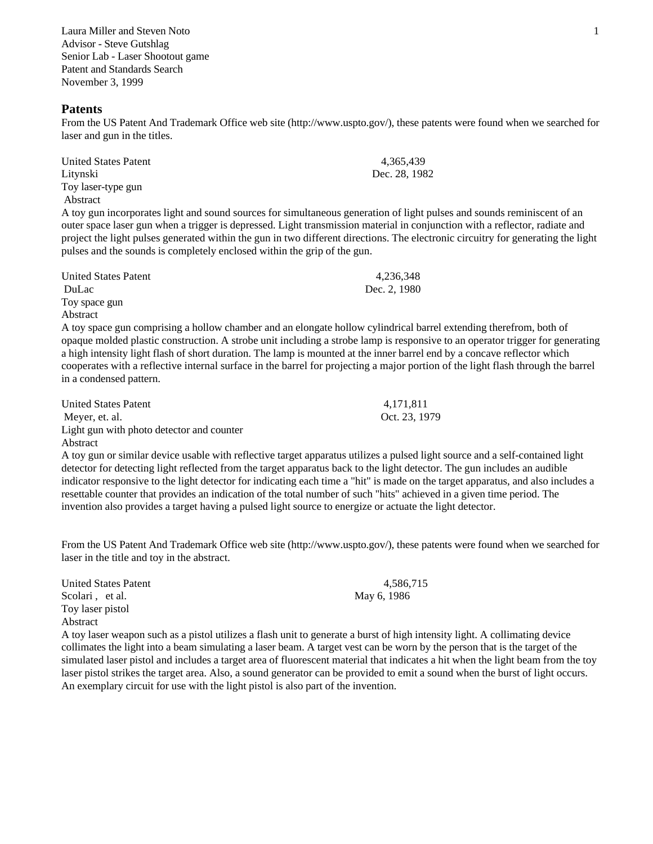Laura Miller and Steven Noto 1 Advisor - Steve Gutshlag Senior Lab - Laser Shootout game Patent and Standards Search November 3, 1999

### **Patents**

From the US Patent And Trademark Office web site (http://www.uspto.gov/), these patents were found when we searched for laser and gun in the titles.

| United States Patent | 4.365.439     |
|----------------------|---------------|
| Litynski             | Dec. 28, 1982 |
| Toy laser-type gun   |               |
| Abstract             |               |

A toy gun incorporates light and sound sources for simultaneous generation of light pulses and sounds reminiscent of an outer space laser gun when a trigger is depressed. Light transmission material in conjunction with a reflector, radiate and project the light pulses generated within the gun in two different directions. The electronic circuitry for generating the light pulses and the sounds is completely enclosed within the grip of the gun.

| United States Patent | 4,236,348    |
|----------------------|--------------|
| DuLac                | Dec. 2, 1980 |
| Toy space gun        |              |
| Abstract             |              |

A toy space gun comprising a hollow chamber and an elongate hollow cylindrical barrel extending therefrom, both of opaque molded plastic construction. A strobe unit including a strobe lamp is responsive to an operator trigger for generating a high intensity light flash of short duration. The lamp is mounted at the inner barrel end by a concave reflector which cooperates with a reflective internal surface in the barrel for projecting a major portion of the light flash through the barrel in a condensed pattern.

| United States Patent                      | 4.171.811     |
|-------------------------------------------|---------------|
| Meyer, et. al.                            | Oct. 23, 1979 |
| Light gun with photo detector and counter |               |

Abstract

A toy gun or similar device usable with reflective target apparatus utilizes a pulsed light source and a self-contained light detector for detecting light reflected from the target apparatus back to the light detector. The gun includes an audible indicator responsive to the light detector for indicating each time a "hit" is made on the target apparatus, and also includes a resettable counter that provides an indication of the total number of such "hits" achieved in a given time period. The invention also provides a target having a pulsed light source to energize or actuate the light detector.

From the US Patent And Trademark Office web site (http://www.uspto.gov/), these patents were found when we searched for laser in the title and toy in the abstract.

United States Patent 4,586,715 Scolari , et al. May 6, 1986 Toy laser pistol Abstract A toy laser weapon such as a pistol utilizes a flash unit to generate a burst of high intensity light. A collimating device collimates the light into a beam simulating a laser beam. A target vest can be worn by the person that is the target of the simulated laser pistol and includes a target area of fluorescent material that indicates a hit when the light beam from the toy laser pistol strikes the target area. Also, a sound generator can be provided to emit a sound when the burst of light occurs.

An exemplary circuit for use with the light pistol is also part of the invention.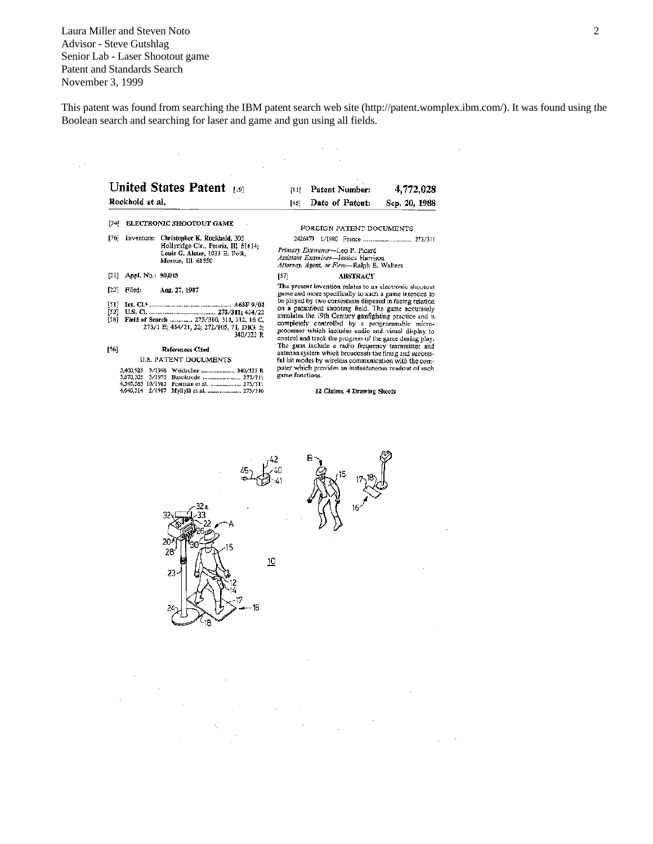Laura Miller and Steven Noto 2 Advisor - Steve Gutshlag Senior Lab - Laser Shootout game Patent and Standards Search November 3, 1999

 $\hat{\psi}^{\pm}$ 

 $\mathcal{L}_{\mathcal{A}}$ 

This patent was found from searching the IBM patent search web site (http://patent.womplex.ibm.com/). It was found using the Boolean search and searching for laser and game and gun using all fields.

 $\sim 10^{11}$  km  $^{-1}$ 

 $\sim 10^{-11}$ 

|                        | Rockhold et al.                             | <b>United States Patent</b><br>[19]                                                                                          | [11]<br>[45]                                                                                                                                                                                                                                                                                                                                                                                                                                                                                                                                                                                                                                                                                                                                            | Patent Number:<br>Date of Patent: | 4,772,028<br>Sep. 20, 1988 |
|------------------------|---------------------------------------------|------------------------------------------------------------------------------------------------------------------------------|---------------------------------------------------------------------------------------------------------------------------------------------------------------------------------------------------------------------------------------------------------------------------------------------------------------------------------------------------------------------------------------------------------------------------------------------------------------------------------------------------------------------------------------------------------------------------------------------------------------------------------------------------------------------------------------------------------------------------------------------------------|-----------------------------------|----------------------------|
| [54]                   |                                             | ELECTRONIC SHOOTOUT GAME                                                                                                     |                                                                                                                                                                                                                                                                                                                                                                                                                                                                                                                                                                                                                                                                                                                                                         | FOREIGN PATENT DOCUMENTS          |                            |
| [76]                   | Inventors:                                  | Christopher K. Rockhold, 305<br>Hollyridge Cir., Peoria, III. 61614;<br>Louis G. Alster, 1033 E. Polk,<br>Morton, Ill. 61550 | Primary Examiner-Leo P. Picard<br>Assistant Examiner-Jessica Hurrison<br>Attorney, Agent, or Firm-Ralph E. Walters                                                                                                                                                                                                                                                                                                                                                                                                                                                                                                                                                                                                                                      |                                   |                            |
| [21]                   | Appl. No.: 90,015                           |                                                                                                                              | [57]                                                                                                                                                                                                                                                                                                                                                                                                                                                                                                                                                                                                                                                                                                                                                    | <b>ABSTRACT</b>                   |                            |
| $[22]$                 | Filed:                                      | Aug. 27, 1987                                                                                                                | The present invention relates to an electronic shootout<br>game and more specifically to such a game intended to<br>be played by two contestants disposed in facing relation<br>on a prescribed shooting field. The game accurately<br>simulates the 19th Century gunfighting practice and is<br>completely controlled by a programmable micro-<br>processor which includes audio and visual display to<br>control and track the progress of the game during play.<br>The guns include a radio frequency transmitter and<br>antenna system which broadcasts the firing and success-<br>ful hit modes by wireless communication with the com-<br>puter which provides an instantaneous readout of such<br>game functions.<br>12 Claims, 4 Drawing Sheets |                                   |                            |
| [51]<br>$[52]$<br>[58] |                                             | Field of Search  273/310, 311, 312, 16 C,<br>273/1 E; 434/21, 22; 272/105, 71, DIG. 5;<br>340/323 R                          |                                                                                                                                                                                                                                                                                                                                                                                                                                                                                                                                                                                                                                                                                                                                                         |                                   |                            |
| [56]                   |                                             | References Cited<br>U.S. PATENT DOCUMENTS                                                                                    |                                                                                                                                                                                                                                                                                                                                                                                                                                                                                                                                                                                                                                                                                                                                                         |                                   |                            |
|                        | 3.400.928<br>3,870.305<br>4,545,583 10/1985 | 9/1968 Weidacher  340/323 R<br>Pearman et al.  273/311<br>4,640,514 2/1987 Myllvlä et al.  273/310                           |                                                                                                                                                                                                                                                                                                                                                                                                                                                                                                                                                                                                                                                                                                                                                         |                                   |                            |

28  $\underline{10}$ 

 $\bar{z}$ 

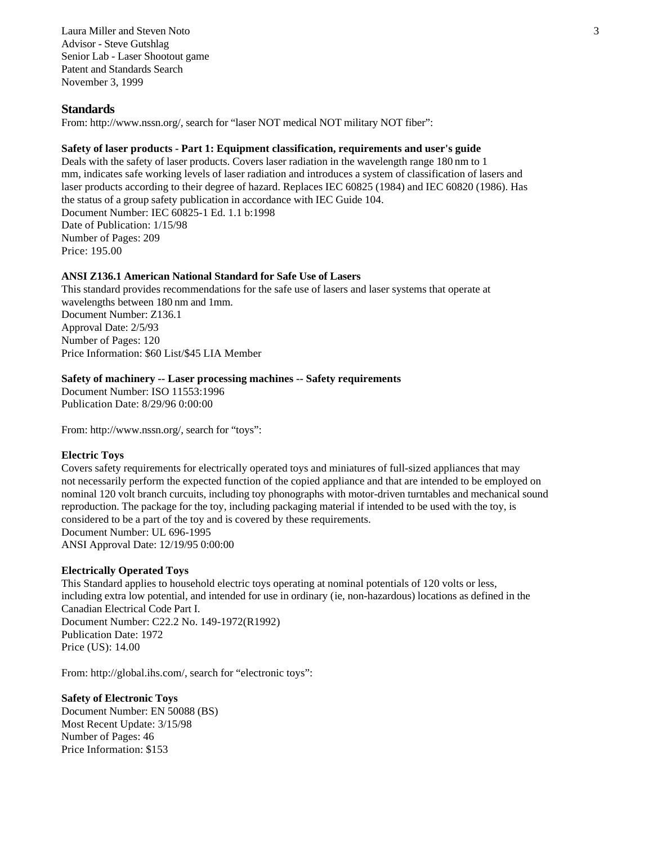Laura Miller and Steven Noto 3 Advisor - Steve Gutshlag Senior Lab - Laser Shootout game Patent and Standards Search November 3, 1999

# **Standards**

From: http://www.nssn.org/, search for "laser NOT medical NOT military NOT fiber":

# **Safety of laser products - Part 1: Equipment classification, requirements and user's guide**

Deals with the safety of laser products. Covers laser radiation in the wavelength range 180 nm to 1 mm, indicates safe working levels of laser radiation and introduces a system of classification of lasers and laser products according to their degree of hazard. Replaces IEC 60825 (1984) and IEC 60820 (1986). Has the status of a group safety publication in accordance with IEC Guide 104. Document Number: IEC 60825-1 Ed. 1.1 b:1998 Date of Publication: 1/15/98 Number of Pages: 209 Price: 195.00

# **ANSI Z136.1 American National Standard for Safe Use of Lasers**

This standard provides recommendations for the safe use of lasers and laser systems that operate at wavelengths between 180 nm and 1mm. Document Number: Z136.1 Approval Date: 2/5/93 Number of Pages: 120 Price Information: \$60 List/\$45 LIA Member

## **Safety of machinery -- Laser processing machines -- Safety requirements**

Document Number: ISO 11553:1996 Publication Date: 8/29/96 0:00:00

From: http://www.nssn.org/, search for "toys":

## **Electric Toys**

Covers safety requirements for electrically operated toys and miniatures of full-sized appliances that may not necessarily perform the expected function of the copied appliance and that are intended to be employed on nominal 120 volt branch curcuits, including toy phonographs with motor-driven turntables and mechanical sound reproduction. The package for the toy, including packaging material if intended to be used with the toy, is considered to be a part of the toy and is covered by these requirements. Document Number: UL 696-1995 ANSI Approval Date: 12/19/95 0:00:00

## **Electrically Operated Toys**

This Standard applies to household electric toys operating at nominal potentials of 120 volts or less, including extra low potential, and intended for use in ordinary (ie, non-hazardous) locations as defined in the Canadian Electrical Code Part I. Document Number: C22.2 No. 149-1972(R1992) Publication Date: 1972 Price (US): 14.00

From: http://global.ihs.com/, search for "electronic toys":

### **Safety of Electronic Toys**

Document Number: EN 50088 (BS) Most Recent Update: 3/15/98 Number of Pages: 46 Price Information: \$153